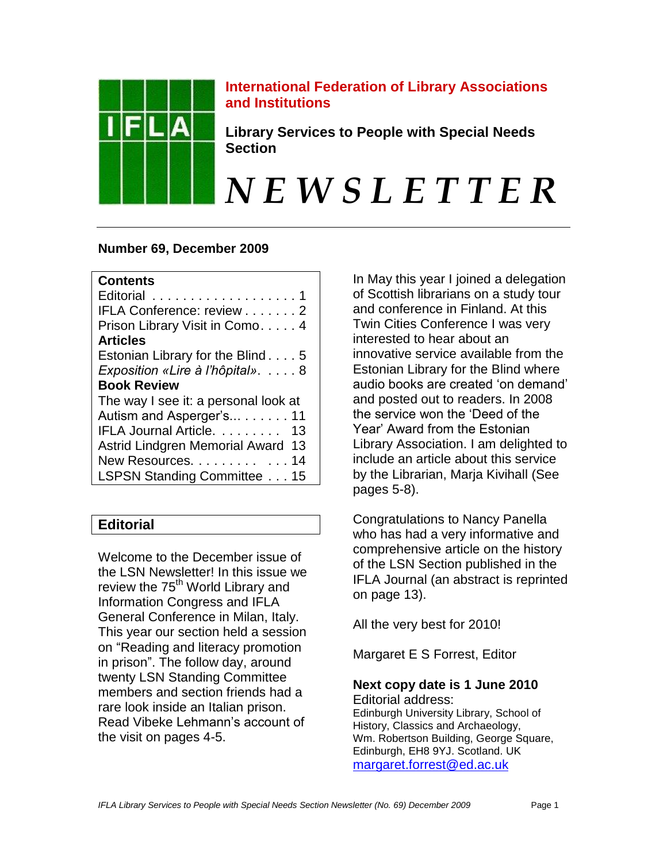

**International Federation of Library Associations and Institutions**

**Library Services to People with Special Needs Section**

*N E W S L E T T E R*

## **Number 69, December 2009**

| Editorial 1<br>IFLA Conference: review 2<br>Prison Library Visit in Como. 4 |
|-----------------------------------------------------------------------------|
| <b>Articles</b>                                                             |
| Estonian Library for the Blind5                                             |
| Exposition «Lire à l'hôpital».  8                                           |
| <b>Book Review</b>                                                          |
| The way I see it: a personal look at                                        |
| Autism and Asperger's 11                                                    |
| IFLA Journal Article. 13                                                    |
| <b>Astrid Lindgren Memorial Award 13</b>                                    |
| New Resources. 14                                                           |
| LSPSN Standing Committee 15                                                 |

# **Editorial**

Welcome to the December issue of the LSN Newsletter! In this issue we review the 75<sup>th</sup> World Library and Information Congress and IFLA General Conference in Milan, Italy. This year our section held a session on "Reading and literacy promotion in prison". The follow day, around twenty LSN Standing Committee members and section friends had a rare look inside an Italian prison. Read Vibeke Lehmann"s account of the visit on pages 4-5.

In May this year I joined a delegation of Scottish librarians on a study tour and conference in Finland. At this Twin Cities Conference I was very interested to hear about an innovative service available from the Estonian Library for the Blind where audio books are created "on demand" and posted out to readers. In 2008 the service won the "Deed of the Year" Award from the Estonian Library Association. I am delighted to include an article about this service by the Librarian, Marja Kivihall (See pages 5-8).

Congratulations to Nancy Panella who has had a very informative and comprehensive article on the history of the LSN Section published in the IFLA Journal (an abstract is reprinted on page 13).

All the very best for 2010!

Margaret E S Forrest, Editor

## **Next copy date is 1 June 2010** Editorial address:

Edinburgh University Library, School of History, Classics and Archaeology, Wm. Robertson Building, George Square, Edinburgh, EH8 9YJ. Scotland. UK [margaret.forrest@ed.ac.uk](mailto:margaret.forrest@ed.ac.uk)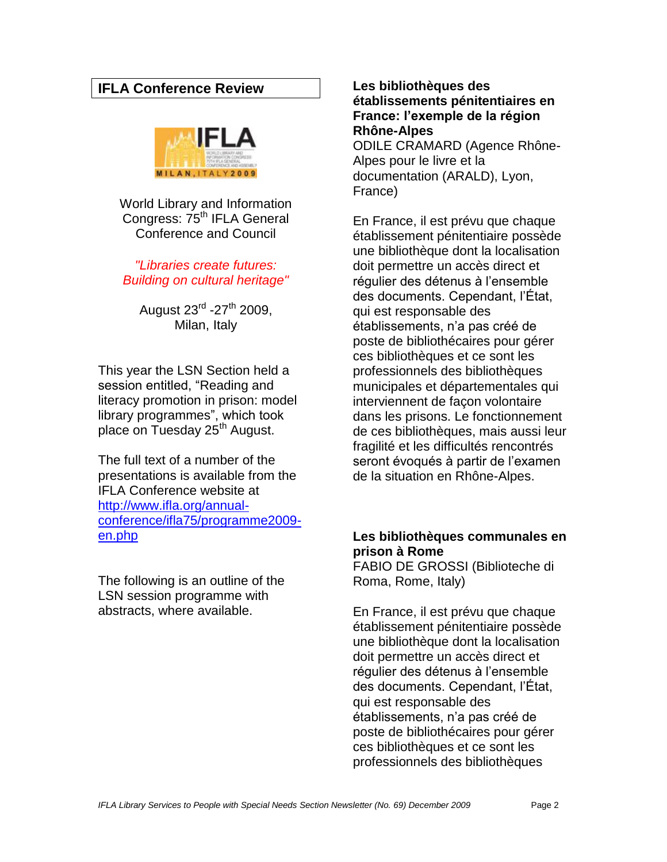## **IFLA Conference Review**



World Library and Information Congress: 75<sup>th</sup> IFLA General Conference and Council

*"Libraries create futures: Building on cultural heritage"*

August 23<sup>rd</sup> -27<sup>th</sup> 2009, Milan, Italy

This year the LSN Section held a session entitled, "Reading and literacy promotion in prison: model library programmes", which took place on Tuesday 25<sup>th</sup> August.

The full text of a number of the presentations is available from the IFLA Conference website at [http://www.ifla.org/annual](http://www.ifla.org/annual-conference/ifla75/programme2009-en.php)[conference/ifla75/programme2009](http://www.ifla.org/annual-conference/ifla75/programme2009-en.php) [en.php](http://www.ifla.org/annual-conference/ifla75/programme2009-en.php)

The following is an outline of the LSN session programme with abstracts, where available.

**Les bibliothèques des établissements pénitentiaires en France: l'exemple de la région Rhône-Alpes**

ODILE CRAMARD (Agence Rhône-Alpes pour le livre et la documentation (ARALD), Lyon, France)

En France, il est prévu que chaque établissement pénitentiaire possède une bibliothèque dont la localisation doit permettre un accès direct et régulier des détenus à l"ensemble des documents. Cependant, l"État, qui est responsable des établissements, n"a pas créé de poste de bibliothécaires pour gérer ces bibliothèques et ce sont les professionnels des bibliothèques municipales et départementales qui interviennent de façon volontaire dans les prisons. Le fonctionnement de ces bibliothèques, mais aussi leur fragilité et les difficultés rencontrés seront évoqués à partir de l"examen de la situation en Rhône-Alpes.

## **Les bibliothèques communales en prison à Rome**

FABIO DE GROSSI (Biblioteche di Roma, Rome, Italy)

En France, il est prévu que chaque établissement pénitentiaire possède une bibliothèque dont la localisation doit permettre un accès direct et régulier des détenus à l"ensemble des documents. Cependant, l"État, qui est responsable des établissements, n"a pas créé de poste de bibliothécaires pour gérer ces bibliothèques et ce sont les professionnels des bibliothèques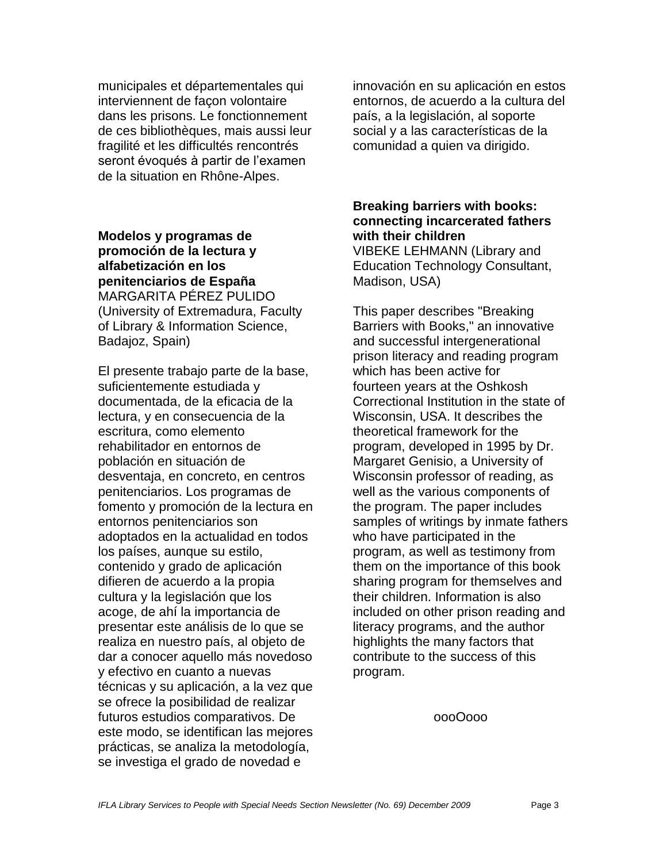municipales et départementales qui interviennent de façon volontaire dans les prisons. Le fonctionnement de ces bibliothèques, mais aussi leur fragilité et les difficultés rencontrés seront évoqués à partir de l'examen de la situation en Rhône-Alpes.

**Modelos y programas de promoción de la lectura y alfabetización en los penitenciarios de España**  MARGARITA PÉREZ PULIDO (University of Extremadura, Faculty of Library & Information Science, Badajoz, Spain)

El presente trabajo parte de la base, suficientemente estudiada y documentada, de la eficacia de la lectura, y en consecuencia de la escritura, como elemento rehabilitador en entornos de población en situación de desventaja, en concreto, en centros penitenciarios. Los programas de fomento y promoción de la lectura en entornos penitenciarios son adoptados en la actualidad en todos los países, aunque su estilo, contenido y grado de aplicación difieren de acuerdo a la propia cultura y la legislación que los acoge, de ahí la importancia de presentar este análisis de lo que se realiza en nuestro país, al objeto de dar a conocer aquello más novedoso y efectivo en cuanto a nuevas técnicas y su aplicación, a la vez que se ofrece la posibilidad de realizar futuros estudios comparativos. De este modo, se identifican las mejores prácticas, se analiza la metodología, se investiga el grado de novedad e

innovación en su aplicación en estos entornos, de acuerdo a la cultura del país, a la legislación, al soporte social y a las características de la comunidad a quien va dirigido.

## **Breaking barriers with books: connecting incarcerated fathers with their children**

VIBEKE LEHMANN (Library and Education Technology Consultant, Madison, USA)

This paper describes "Breaking Barriers with Books," an innovative and successful intergenerational prison literacy and reading program which has been active for fourteen years at the Oshkosh Correctional Institution in the state of Wisconsin, USA. It describes the theoretical framework for the program, developed in 1995 by Dr. Margaret Genisio, a University of Wisconsin professor of reading, as well as the various components of the program. The paper includes samples of writings by inmate fathers who have participated in the program, as well as testimony from them on the importance of this book sharing program for themselves and their children. Information is also included on other prison reading and literacy programs, and the author highlights the many factors that contribute to the success of this program.

oooOooo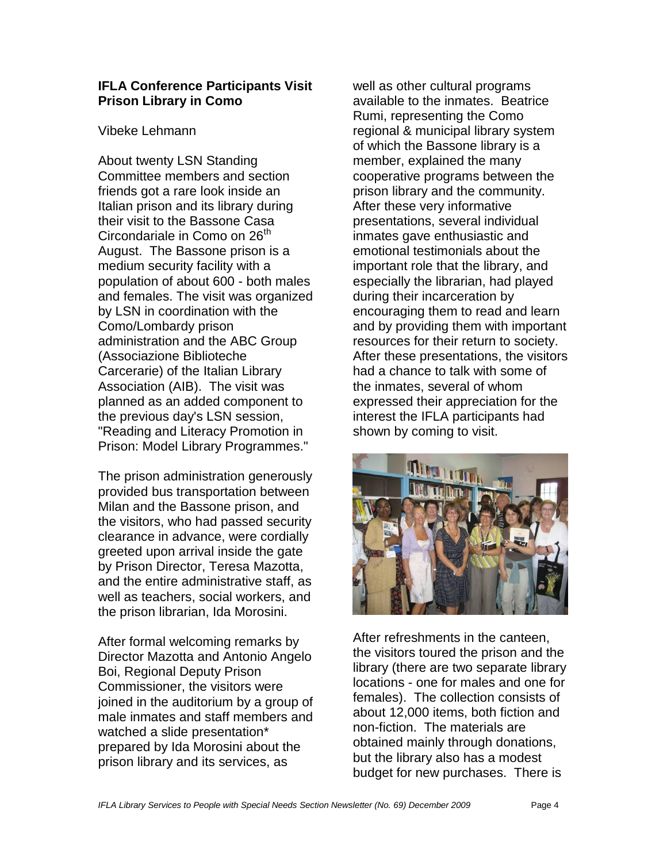## **IFLA Conference Participants Visit Prison Library in Como**

#### Vibeke Lehmann

About twenty LSN Standing Committee members and section friends got a rare look inside an Italian prison and its library during their visit to the Bassone Casa Circondariale in Como on 26<sup>th</sup> August. The Bassone prison is a medium security facility with a population of about 600 - both males and females. The visit was organized by LSN in coordination with the Como/Lombardy prison administration and the ABC Group (Associazione Biblioteche Carcerarie) of the Italian Library Association (AIB). The visit was planned as an added component to the previous day's LSN session, "Reading and Literacy Promotion in Prison: Model Library Programmes."

The prison administration generously provided bus transportation between Milan and the Bassone prison, and the visitors, who had passed security clearance in advance, were cordially greeted upon arrival inside the gate by Prison Director, Teresa Mazotta, and the entire administrative staff, as well as teachers, social workers, and the prison librarian, Ida Morosini.

After formal welcoming remarks by Director Mazotta and Antonio Angelo Boi, Regional Deputy Prison Commissioner, the visitors were joined in the auditorium by a group of male inmates and staff members and watched a slide presentation\* prepared by Ida Morosini about the prison library and its services, as

well as other cultural programs available to the inmates. Beatrice Rumi, representing the Como regional & municipal library system of which the Bassone library is a member, explained the many cooperative programs between the prison library and the community. After these very informative presentations, several individual inmates gave enthusiastic and emotional testimonials about the important role that the library, and especially the librarian, had played during their incarceration by encouraging them to read and learn and by providing them with important resources for their return to society. After these presentations, the visitors had a chance to talk with some of the inmates, several of whom expressed their appreciation for the interest the IFLA participants had shown by coming to visit.



After refreshments in the canteen, the visitors toured the prison and the library (there are two separate library locations - one for males and one for females). The collection consists of about 12,000 items, both fiction and non-fiction. The materials are obtained mainly through donations, but the library also has a modest budget for new purchases. There is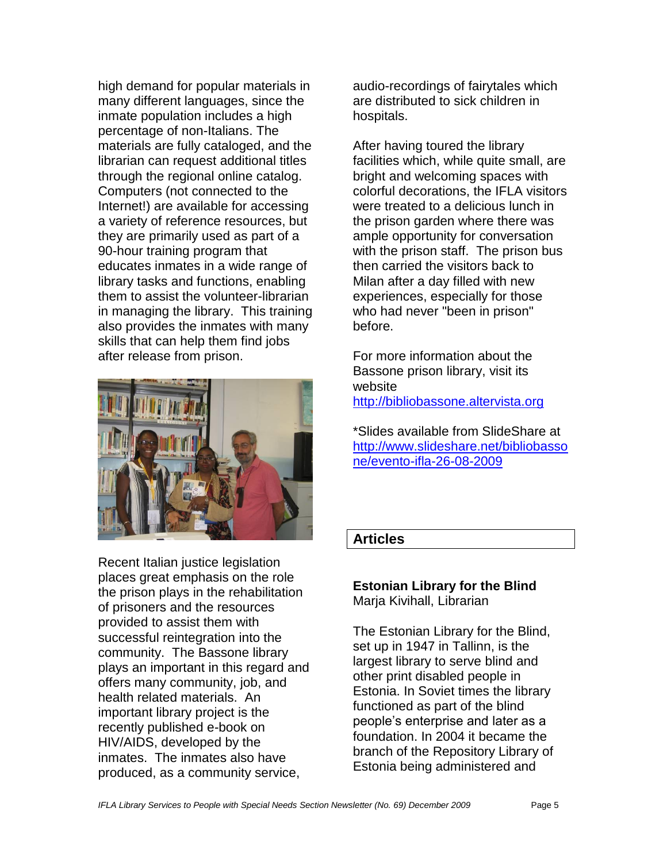high demand for popular materials in many different languages, since the inmate population includes a high percentage of non-Italians. The materials are fully cataloged, and the librarian can request additional titles through the regional online catalog. Computers (not connected to the Internet!) are available for accessing a variety of reference resources, but they are primarily used as part of a 90-hour training program that educates inmates in a wide range of library tasks and functions, enabling them to assist the volunteer-librarian in managing the library. This training also provides the inmates with many skills that can help them find jobs after release from prison.



Recent Italian justice legislation places great emphasis on the role the prison plays in the rehabilitation of prisoners and the resources provided to assist them with successful reintegration into the community. The Bassone library plays an important in this regard and offers many community, job, and health related materials. An important library project is the recently published e-book on HIV/AIDS, developed by the inmates. The inmates also have produced, as a community service,

audio-recordings of fairytales which are distributed to sick children in hospitals.

After having toured the library facilities which, while quite small, are bright and welcoming spaces with colorful decorations, the IFLA visitors were treated to a delicious lunch in the prison garden where there was ample opportunity for conversation with the prison staff. The prison bus then carried the visitors back to Milan after a day filled with new experiences, especially for those who had never "been in prison" before.

For more information about the Bassone prison library, visit its website [http://bibliobassone.altervista.org](http://bibliobassone.altervista.org/)

\*Slides available from SlideShare at [http://www.slideshare.net/bibliobasso](http://www.slideshare.net/bibliobassone/evento-ifla-26-08-2009) [ne/evento-ifla-26-08-2009](http://www.slideshare.net/bibliobassone/evento-ifla-26-08-2009)

## **Articles**

#### **Estonian Library for the Blind** Marja Kivihall, Librarian

The Estonian Library for the Blind, set up in 1947 in Tallinn, is the largest library to serve blind and other print disabled people in Estonia. In Soviet times the library functioned as part of the blind people"s enterprise and later as a foundation. In 2004 it became the branch of the Repository Library of Estonia being administered and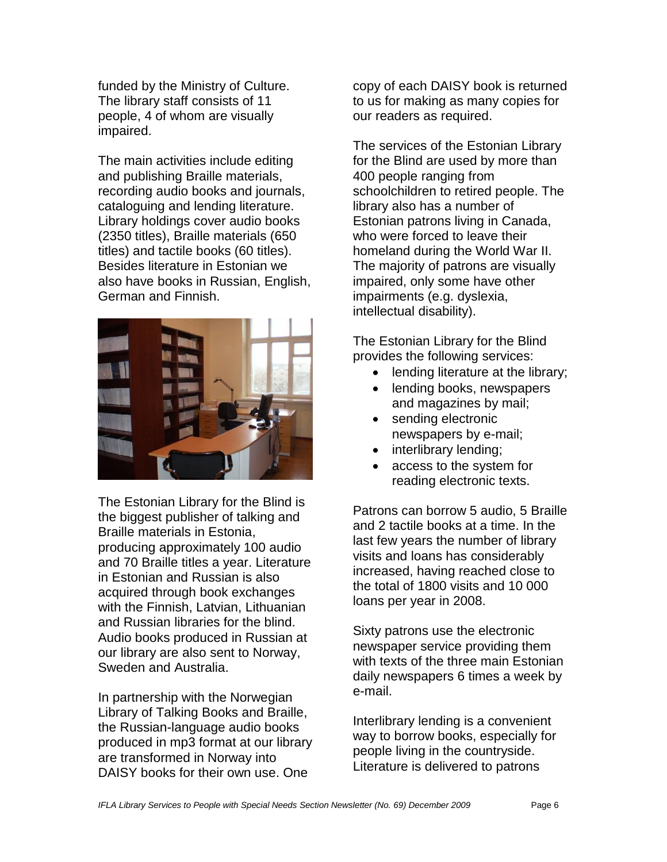funded by the Ministry of Culture. The library staff consists of 11 people, 4 of whom are visually impaired.

The main activities include editing and publishing Braille materials, recording audio books and journals, cataloguing and lending literature. Library holdings cover audio books (2350 titles), Braille materials (650 titles) and tactile books (60 titles). Besides literature in Estonian we also have books in Russian, English, German and Finnish.



The Estonian Library for the Blind is the biggest publisher of talking and Braille materials in Estonia, producing approximately 100 audio and 70 Braille titles a year. Literature in Estonian and Russian is also acquired through book exchanges with the Finnish, Latvian, Lithuanian and Russian libraries for the blind. Audio books produced in Russian at our library are also sent to Norway, Sweden and Australia.

In partnership with the Norwegian Library of Talking Books and Braille, the Russian-language audio books produced in mp3 format at our library are transformed in Norway into DAISY books for their own use. One

copy of each DAISY book is returned to us for making as many copies for our readers as required.

The services of the Estonian Library for the Blind are used by more than 400 people ranging from schoolchildren to retired people. The library also has a number of Estonian patrons living in Canada, who were forced to leave their homeland during the World War II. The majority of patrons are visually impaired, only some have other impairments (e.g. dyslexia, intellectual disability).

The Estonian Library for the Blind provides the following services:

- lending literature at the library;
- lending books, newspapers and magazines by mail;
- sending electronic newspapers by e-mail;
- interlibrary lending;
- access to the system for reading electronic texts.

Patrons can borrow 5 audio, 5 Braille and 2 tactile books at a time. In the last few years the number of library visits and loans has considerably increased, having reached close to the total of 1800 visits and 10 000 loans per year in 2008.

Sixty patrons use the electronic newspaper service providing them with texts of the three main Estonian daily newspapers 6 times a week by e-mail.

Interlibrary lending is a convenient way to borrow books, especially for people living in the countryside. Literature is delivered to patrons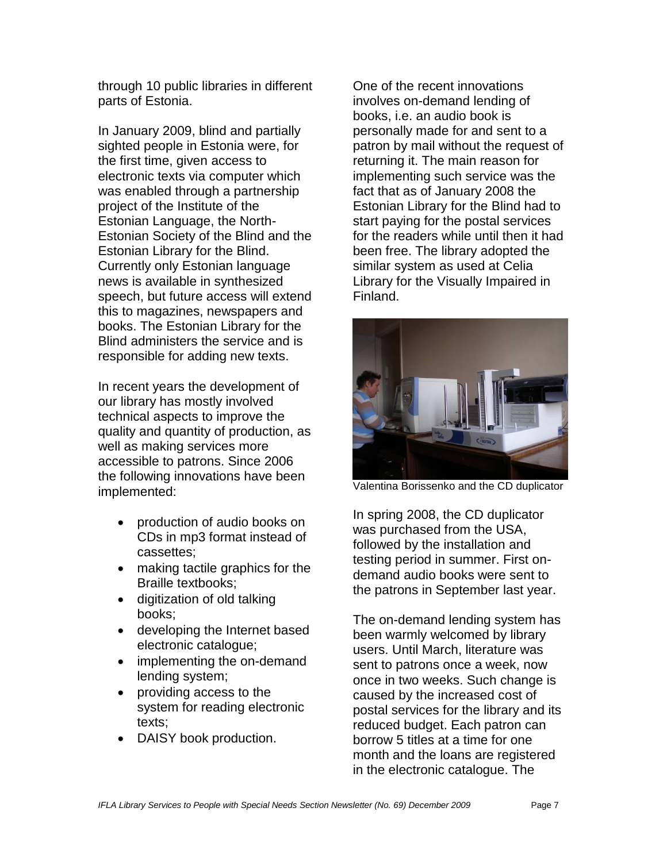through 10 public libraries in different parts of Estonia.

In January 2009, blind and partially sighted people in Estonia were, for the first time, given access to electronic texts via computer which was enabled through a partnership project of the Institute of the Estonian Language, the North-Estonian Society of the Blind and the Estonian Library for the Blind. Currently only Estonian language news is available in synthesized speech, but future access will extend this to magazines, newspapers and books. The Estonian Library for the Blind administers the service and is responsible for adding new texts.

In recent years the development of our library has mostly involved technical aspects to improve the quality and quantity of production, as well as making services more accessible to patrons. Since 2006 the following innovations have been implemented:

- production of audio books on CDs in mp3 format instead of cassettes;
- making tactile graphics for the Braille textbooks;
- digitization of old talking books;
- developing the Internet based electronic catalogue;
- implementing the on-demand lending system;
- providing access to the system for reading electronic texts;
- DAISY book production.

One of the recent innovations involves on-demand lending of books, i.e. an audio book is personally made for and sent to a patron by mail without the request of returning it. The main reason for implementing such service was the fact that as of January 2008 the Estonian Library for the Blind had to start paying for the postal services for the readers while until then it had been free. The library adopted the similar system as used at Celia Library for the Visually Impaired in Finland.



Valentina Borissenko and the CD duplicator

In spring 2008, the CD duplicator was purchased from the USA, followed by the installation and testing period in summer. First ondemand audio books were sent to the patrons in September last year.

The on-demand lending system has been warmly welcomed by library users. Until March, literature was sent to patrons once a week, now once in two weeks. Such change is caused by the increased cost of postal services for the library and its reduced budget. Each patron can borrow 5 titles at a time for one month and the loans are registered in the electronic catalogue. The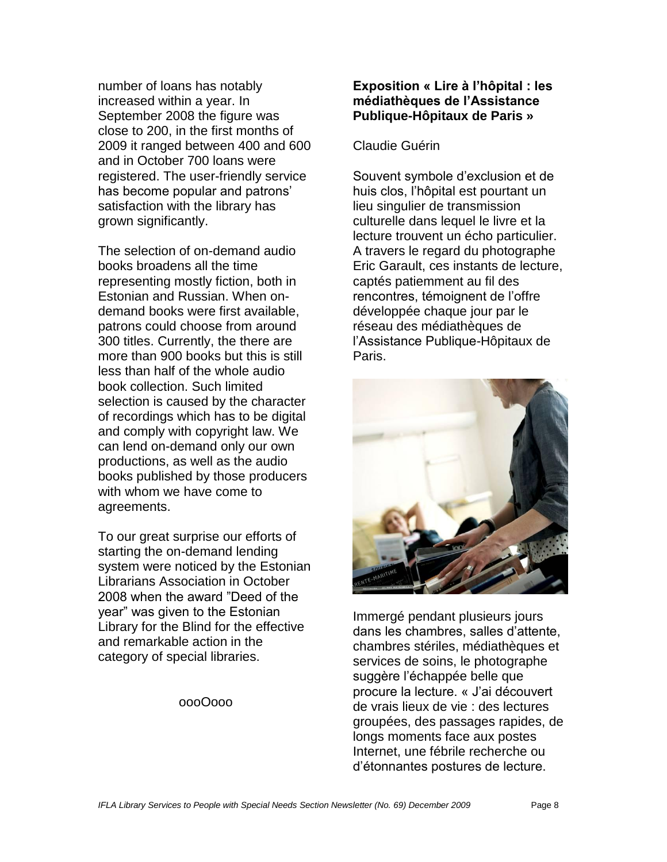number of loans has notably increased within a year. In September 2008 the figure was close to 200, in the first months of 2009 it ranged between 400 and 600 and in October 700 loans were registered. The user-friendly service has become popular and patrons' satisfaction with the library has grown significantly.

The selection of on-demand audio books broadens all the time representing mostly fiction, both in Estonian and Russian. When ondemand books were first available, patrons could choose from around 300 titles. Currently, the there are more than 900 books but this is still less than half of the whole audio book collection. Such limited selection is caused by the character of recordings which has to be digital and comply with copyright law. We can lend on-demand only our own productions, as well as the audio books published by those producers with whom we have come to agreements.

To our great surprise our efforts of starting the on-demand lending system were noticed by the Estonian Librarians Association in October 2008 when the award "Deed of the year" was given to the Estonian Library for the Blind for the effective and remarkable action in the category of special libraries.

oooOooo

## **Exposition « Lire à l'hôpital : les médiathèques de l'Assistance Publique-Hôpitaux de Paris »**

## Claudie Guérin

Souvent symbole d"exclusion et de huis clos, l"hôpital est pourtant un lieu singulier de transmission culturelle dans lequel le livre et la lecture trouvent un écho particulier. A travers le regard du photographe Eric Garault, ces instants de lecture, captés patiemment au fil des rencontres, témoignent de l"offre développée chaque jour par le réseau des médiathèques de l"Assistance Publique-Hôpitaux de Paris.



Immergé pendant plusieurs jours dans les chambres, salles d"attente, chambres stériles, médiathèques et services de soins, le photographe suggère l"échappée belle que procure la lecture. « J"ai découvert de vrais lieux de vie : des lectures groupées, des passages rapides, de longs moments face aux postes Internet, une fébrile recherche ou d"étonnantes postures de lecture.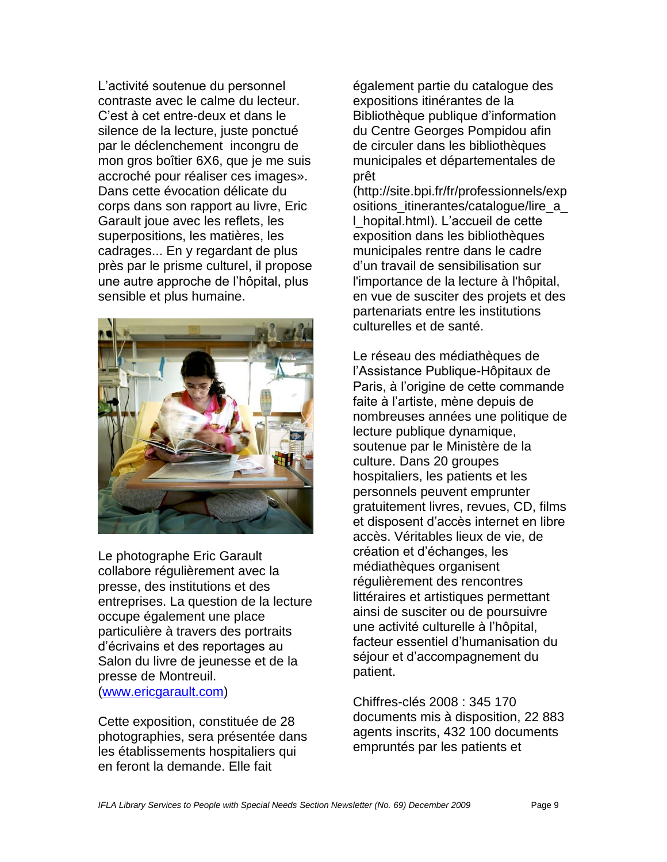L"activité soutenue du personnel contraste avec le calme du lecteur. C"est à cet entre-deux et dans le silence de la lecture, juste ponctué par le déclenchement incongru de mon gros boîtier 6X6, que je me suis accroché pour réaliser ces images». Dans cette évocation délicate du corps dans son rapport au livre, Eric Garault joue avec les reflets, les superpositions, les matières, les cadrages... En y regardant de plus près par le prisme culturel, il propose une autre approche de l"hôpital, plus sensible et plus humaine.



Le photographe Eric Garault collabore régulièrement avec la presse, des institutions et des entreprises. La question de la lecture occupe également une place particulière à travers des portraits d"écrivains et des reportages au Salon du livre de jeunesse et de la presse de Montreuil. [\(www.ericgarault.com\)](http://www.ericgarault.com/)

Cette exposition, constituée de 28 photographies, sera présentée dans les établissements hospitaliers qui en feront la demande. Elle fait

également partie du catalogue des expositions itinérantes de la Bibliothèque publique d"information du Centre Georges Pompidou afin de circuler dans les bibliothèques municipales et départementales de prêt

(http://site.bpi.fr/fr/professionnels/exp ositions itinerantes/catalogue/lire a l\_hopital.html). L"accueil de cette exposition dans les bibliothèques municipales rentre dans le cadre d"un travail de sensibilisation sur l'importance de la lecture à l'hôpital, en vue de susciter des projets et des partenariats entre les institutions culturelles et de santé.

Le réseau des médiathèques de l"Assistance Publique-Hôpitaux de Paris, à l"origine de cette commande faite à l"artiste, mène depuis de nombreuses années une politique de lecture publique dynamique, soutenue par le Ministère de la culture. Dans 20 groupes hospitaliers, les patients et les personnels peuvent emprunter gratuitement livres, revues, CD, films et disposent d"accès internet en libre accès. Véritables lieux de vie, de création et d"échanges, les médiathèques organisent régulièrement des rencontres littéraires et artistiques permettant ainsi de susciter ou de poursuivre une activité culturelle à l"hôpital, facteur essentiel d"humanisation du séjour et d"accompagnement du patient.

Chiffres-clés 2008 : 345 170 documents mis à disposition, 22 883 agents inscrits, 432 100 documents empruntés par les patients et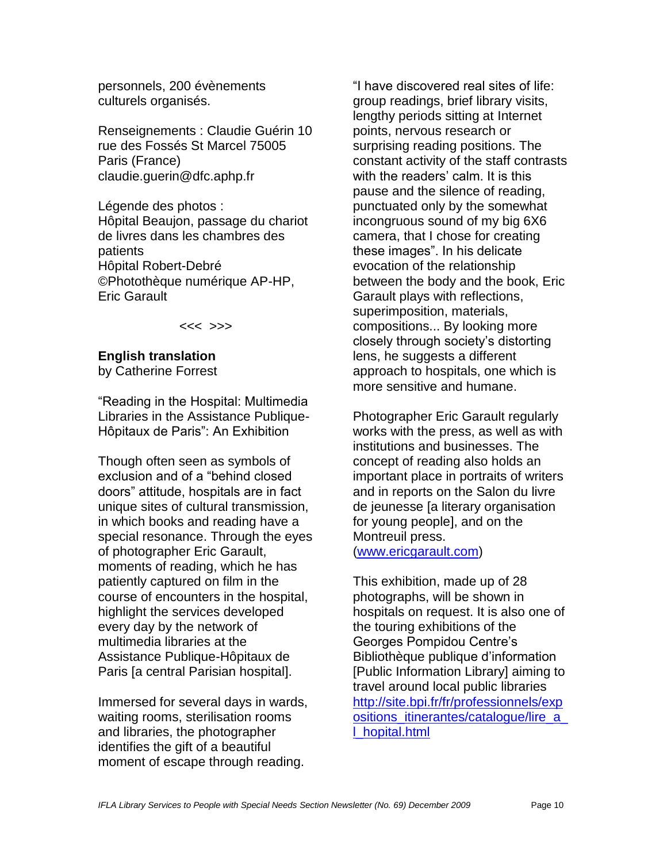personnels, 200 évènements culturels organisés.

Renseignements : Claudie Guérin 10 rue des Fossés St Marcel 75005 Paris (France) claudie.guerin@dfc.aphp.fr

Légende des photos : Hôpital Beaujon, passage du chariot de livres dans les chambres des patients Hôpital Robert-Debré ©Photothèque numérique AP-HP, Eric Garault

<<< >>>

# **English translation**

by Catherine Forrest

"Reading in the Hospital: Multimedia Libraries in the Assistance Publique-Hôpitaux de Paris": An Exhibition

Though often seen as symbols of exclusion and of a "behind closed doors" attitude, hospitals are in fact unique sites of cultural transmission, in which books and reading have a special resonance. Through the eyes of photographer Eric Garault, moments of reading, which he has patiently captured on film in the course of encounters in the hospital, highlight the services developed every day by the network of multimedia libraries at the Assistance Publique-Hôpitaux de Paris [a central Parisian hospital].

Immersed for several days in wards, waiting rooms, sterilisation rooms and libraries, the photographer identifies the gift of a beautiful moment of escape through reading.

"I have discovered real sites of life: group readings, brief library visits, lengthy periods sitting at Internet points, nervous research or surprising reading positions. The constant activity of the staff contrasts with the readers' calm. It is this pause and the silence of reading, punctuated only by the somewhat incongruous sound of my big 6X6 camera, that I chose for creating these images". In his delicate evocation of the relationship between the body and the book, Eric Garault plays with reflections, superimposition, materials, compositions... By looking more closely through society's distorting lens, he suggests a different approach to hospitals, one which is more sensitive and humane.

Photographer Eric Garault regularly works with the press, as well as with institutions and businesses. The concept of reading also holds an important place in portraits of writers and in reports on the Salon du livre de jeunesse [a literary organisation for young people], and on the Montreuil press. [\(www.ericgarault.com\)](http://www.ericgarault.com/)

This exhibition, made up of 28 photographs, will be shown in hospitals on request. It is also one of the touring exhibitions of the Georges Pompidou Centre"s Bibliothèque publique d"information [Public Information Library] aiming to travel around local public libraries [http://site.bpi.fr/fr/professionnels/exp](http://site.bpi.fr/fr/professionnels/expositions_itinerantes/catalogue/lire_a_l_hopital.html) [ositions\\_itinerantes/catalogue/lire\\_a\\_](http://site.bpi.fr/fr/professionnels/expositions_itinerantes/catalogue/lire_a_l_hopital.html) [l\\_hopital.html](http://site.bpi.fr/fr/professionnels/expositions_itinerantes/catalogue/lire_a_l_hopital.html)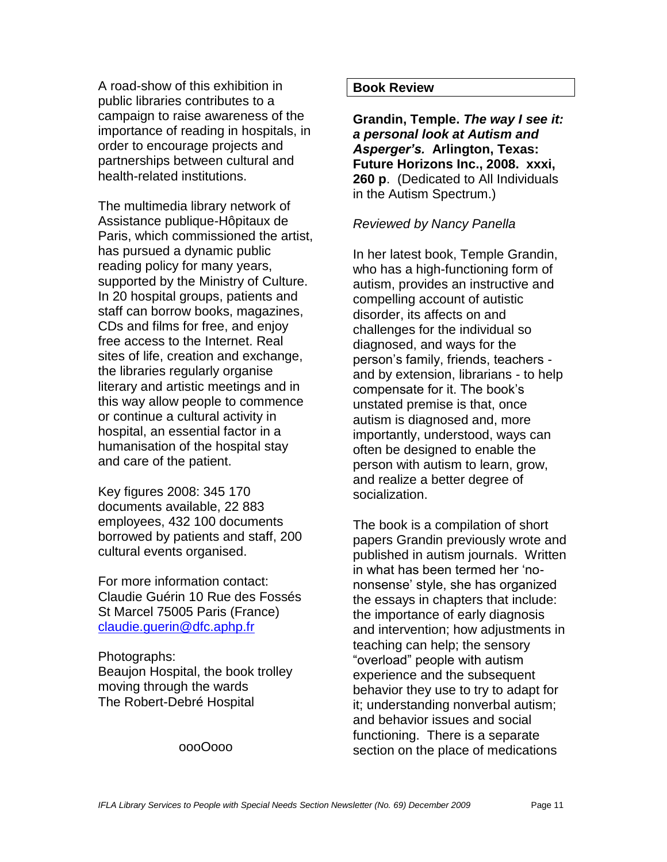A road-show of this exhibition in public libraries contributes to a campaign to raise awareness of the importance of reading in hospitals, in order to encourage projects and partnerships between cultural and health-related institutions.

The multimedia library network of Assistance publique-Hôpitaux de Paris, which commissioned the artist, has pursued a dynamic public reading policy for many years, supported by the Ministry of Culture. In 20 hospital groups, patients and staff can borrow books, magazines, CDs and films for free, and enjoy free access to the Internet. Real sites of life, creation and exchange, the libraries regularly organise literary and artistic meetings and in this way allow people to commence or continue a cultural activity in hospital, an essential factor in a humanisation of the hospital stay and care of the patient.

Key figures 2008: 345 170 documents available, 22 883 employees, 432 100 documents borrowed by patients and staff, 200 cultural events organised.

For more information contact: Claudie Guérin 10 Rue des Fossés St Marcel 75005 Paris (France) [claudie.guerin@dfc.aphp.fr](mailto:claudie.guerin@dfc.aphp.fr)

Photographs: Beaujon Hospital, the book trolley moving through the wards The Robert-Debré Hospital

#### oooOooo

#### **Book Review**

**Grandin, Temple.** *The way I see it: a personal look at Autism and Asperger's.* **Arlington, Texas: Future Horizons Inc., 2008. xxxi, 260 p**. (Dedicated to All Individuals in the Autism Spectrum.)

#### *Reviewed by Nancy Panella*

In her latest book, Temple Grandin, who has a high-functioning form of autism, provides an instructive and compelling account of autistic disorder, its affects on and challenges for the individual so diagnosed, and ways for the person"s family, friends, teachers and by extension, librarians - to help compensate for it. The book"s unstated premise is that, once autism is diagnosed and, more importantly, understood, ways can often be designed to enable the person with autism to learn, grow, and realize a better degree of socialization.

The book is a compilation of short papers Grandin previously wrote and published in autism journals. Written in what has been termed her "nononsense" style, she has organized the essays in chapters that include: the importance of early diagnosis and intervention; how adjustments in teaching can help; the sensory "overload" people with autism experience and the subsequent behavior they use to try to adapt for it; understanding nonverbal autism; and behavior issues and social functioning. There is a separate section on the place of medications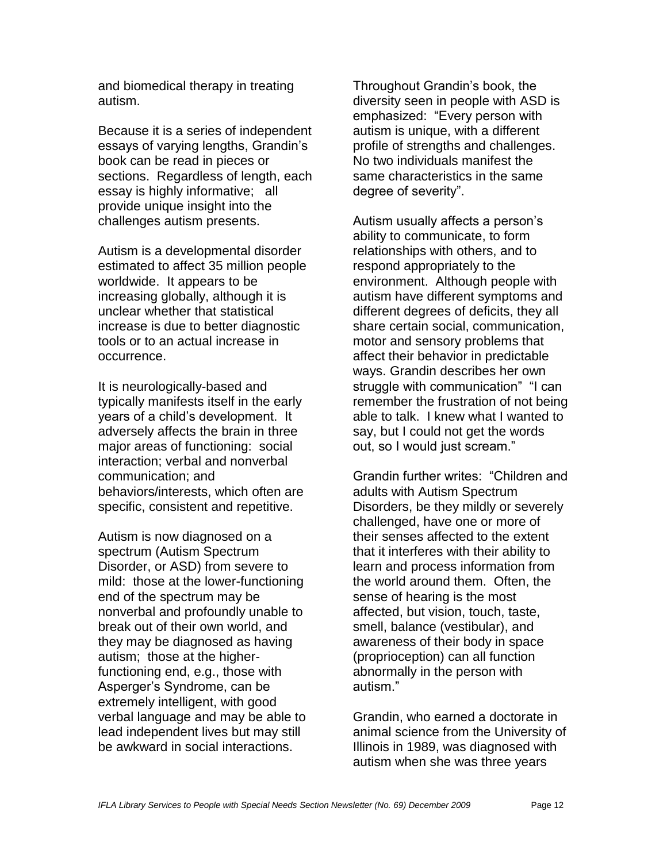and biomedical therapy in treating autism.

Because it is a series of independent essays of varying lengths, Grandin"s book can be read in pieces or sections. Regardless of length, each essay is highly informative; all provide unique insight into the challenges autism presents.

Autism is a developmental disorder estimated to affect 35 million people worldwide. It appears to be increasing globally, although it is unclear whether that statistical increase is due to better diagnostic tools or to an actual increase in occurrence.

It is neurologically-based and typically manifests itself in the early years of a child"s development. It adversely affects the brain in three major areas of functioning: social interaction; verbal and nonverbal communication; and behaviors/interests, which often are specific, consistent and repetitive.

Autism is now diagnosed on a spectrum (Autism Spectrum Disorder, or ASD) from severe to mild: those at the lower-functioning end of the spectrum may be nonverbal and profoundly unable to break out of their own world, and they may be diagnosed as having autism; those at the higherfunctioning end, e.g., those with Asperger"s Syndrome, can be extremely intelligent, with good verbal language and may be able to lead independent lives but may still be awkward in social interactions.

Throughout Grandin"s book, the diversity seen in people with ASD is emphasized: "Every person with autism is unique, with a different profile of strengths and challenges. No two individuals manifest the same characteristics in the same degree of severity".

Autism usually affects a person's ability to communicate, to form relationships with others, and to respond appropriately to the environment. Although people with autism have different symptoms and different degrees of deficits, they all share certain social, communication, motor and sensory problems that affect their behavior in predictable ways. Grandin describes her own struggle with communication" "I can remember the frustration of not being able to talk. I knew what I wanted to say, but I could not get the words out, so I would just scream."

Grandin further writes: "Children and adults with Autism Spectrum Disorders, be they mildly or severely challenged, have one or more of their senses affected to the extent that it interferes with their ability to learn and process information from the world around them. Often, the sense of hearing is the most affected, but vision, touch, taste, smell, balance (vestibular), and awareness of their body in space (proprioception) can all function abnormally in the person with autism."

Grandin, who earned a doctorate in animal science from the University of Illinois in 1989, was diagnosed with autism when she was three years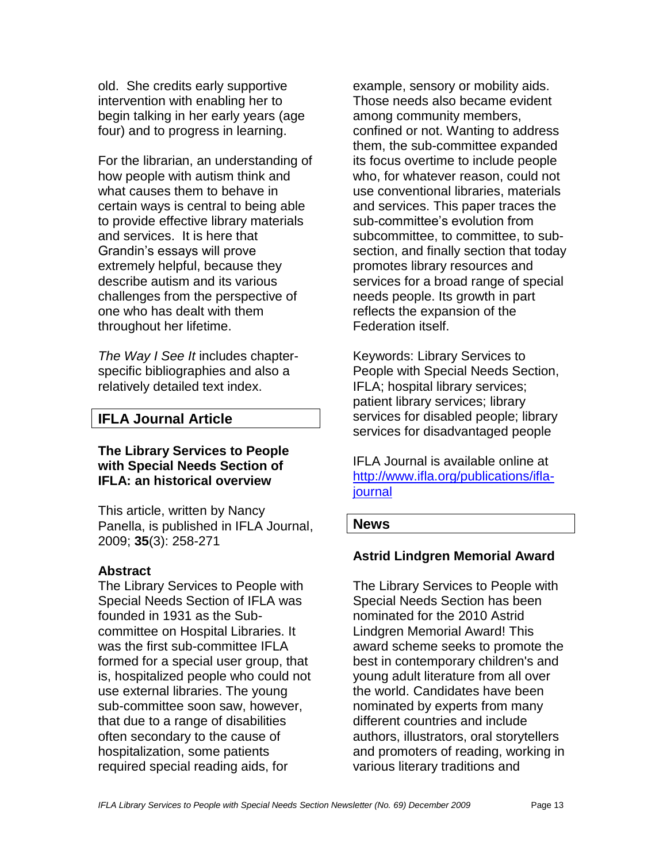old. She credits early supportive intervention with enabling her to begin talking in her early years (age four) and to progress in learning.

For the librarian, an understanding of how people with autism think and what causes them to behave in certain ways is central to being able to provide effective library materials and services. It is here that Grandin"s essays will prove extremely helpful, because they describe autism and its various challenges from the perspective of one who has dealt with them throughout her lifetime.

*The Way I See It* includes chapterspecific bibliographies and also a relatively detailed text index.

## **IFLA Journal Article**

## **The Library Services to People with Special Needs Section of IFLA: an historical overview**

This article, written by Nancy Panella, is published in IFLA Journal, 2009; **35**(3): 258-271

#### **Abstract**

The Library Services to People with Special Needs Section of IFLA was founded in 1931 as the Subcommittee on Hospital Libraries. It was the first sub-committee IFLA formed for a special user group, that is, hospitalized people who could not use external libraries. The young sub-committee soon saw, however, that due to a range of disabilities often secondary to the cause of hospitalization, some patients required special reading aids, for

example, sensory or mobility aids. Those needs also became evident among community members, confined or not. Wanting to address them, the sub-committee expanded its focus overtime to include people who, for whatever reason, could not use conventional libraries, materials and services. This paper traces the sub-committee's evolution from subcommittee, to committee, to subsection, and finally section that today promotes library resources and services for a broad range of special needs people. Its growth in part reflects the expansion of the Federation itself.

Keywords: Library Services to People with Special Needs Section, IFLA; hospital library services; patient library services; library services for disabled people; library services for disadvantaged people

IFLA Journal is available online at [http://www.ifla.org/publications/ifla](http://www.ifla.org/publications/ifla-journal)[journal](http://www.ifla.org/publications/ifla-journal)

#### **News**

## **Astrid Lindgren Memorial Award**

The Library Services to People with Special Needs Section has been nominated for the 2010 Astrid Lindgren Memorial Award! This award scheme seeks to promote the best in contemporary children's and young adult literature from all over the world. Candidates have been nominated by experts from many different countries and include authors, illustrators, oral storytellers and promoters of reading, working in various literary traditions and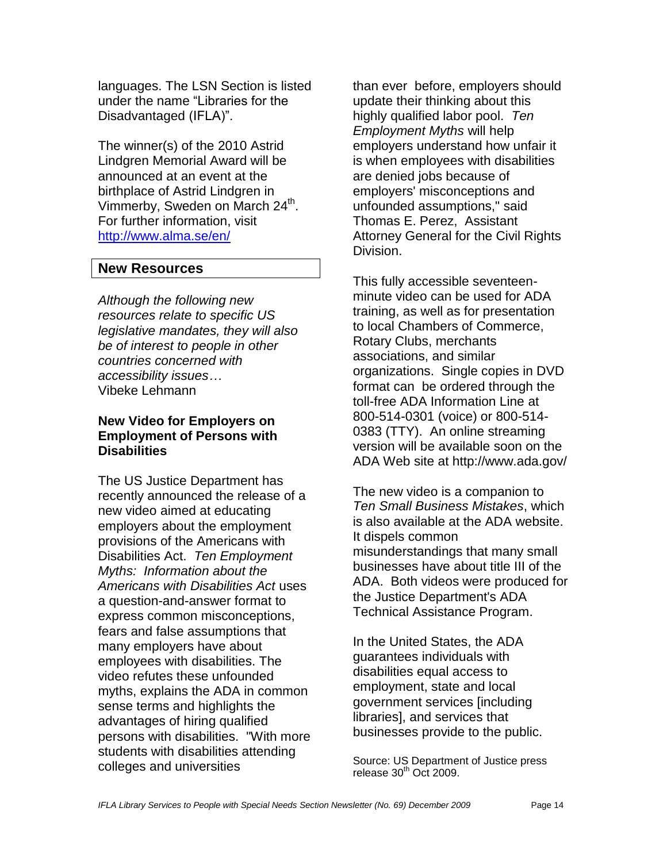languages. The LSN Section is listed under the name "Libraries for the Disadvantaged (IFLA)".

The winner(s) of the 2010 Astrid Lindgren Memorial Award will be announced at an event at the birthplace of Astrid Lindgren in Vimmerby, Sweden on March 24<sup>th</sup>. For further information, visit <http://www.alma.se/en/>

## **New Resources**

*Although the following new resources relate to specific US legislative mandates, they will also be of interest to people in other countries concerned with accessibility issues…* Vibeke Lehmann

## **New Video for Employers on Employment of Persons with Disabilities**

The US Justice Department has recently announced the release of a new video aimed at educating employers about the employment provisions of the Americans with Disabilities Act. *Ten Employment Myths: Information about the Americans with Disabilities Act* uses a question-and-answer format to express common misconceptions, fears and false assumptions that many employers have about employees with disabilities. The video refutes these unfounded myths, explains the ADA in common sense terms and highlights the advantages of hiring qualified persons with disabilities. "With more students with disabilities attending colleges and universities

than ever before, employers should update their thinking about this highly qualified labor pool. *Ten Employment Myths* will help employers understand how unfair it is when employees with disabilities are denied jobs because of employers' misconceptions and unfounded assumptions," said Thomas E. Perez, Assistant Attorney General for the Civil Rights Division.

This fully accessible seventeenminute video can be used for ADA training, as well as for presentation to local Chambers of Commerce, Rotary Clubs, merchants associations, and similar organizations. Single copies in DVD format can be ordered through the toll-free ADA Information Line at 800-514-0301 (voice) or 800-514- 0383 (TTY). An online streaming version will be available soon on the ADA Web site at http://www.ada.gov/

The new video is a companion to *Ten Small Business Mistakes*, which is also available at the ADA website. It dispels common misunderstandings that many small businesses have about title III of the ADA. Both videos were produced for the Justice Department's ADA Technical Assistance Program.

In the United States, the ADA guarantees individuals with disabilities equal access to employment, state and local government services [including libraries], and services that businesses provide to the public.

Source: US Department of Justice press release  $30<sup>th</sup>$  Oct 2009.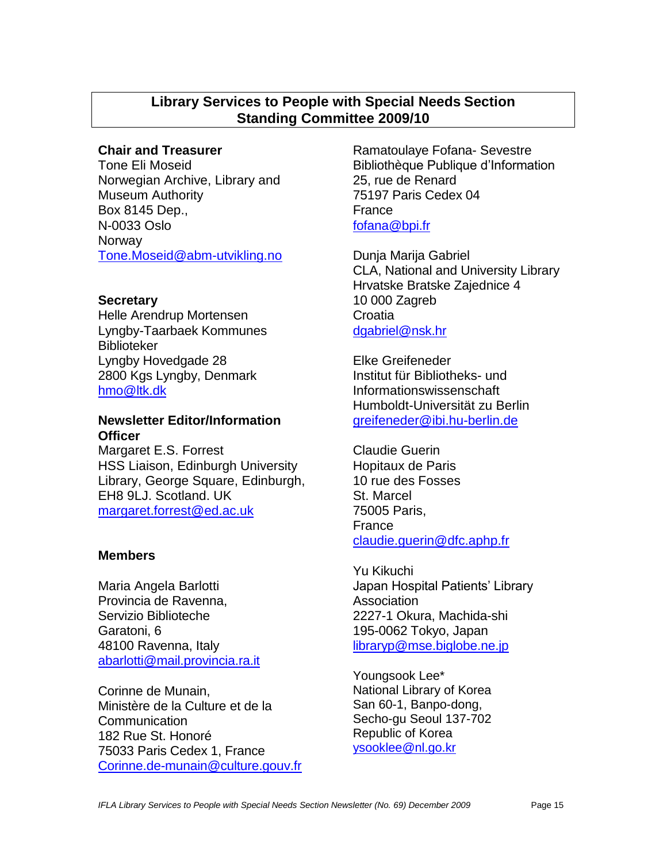## **Library Services to People with Special Needs Section Standing Committee 2009/10**

## **Chair and Treasurer**

Tone Eli Moseid Norwegian Archive, Library and Museum Authority Box 8145 Dep., N-0033 Oslo **Norway** [Tone.Moseid@abm-utvikling.no](mailto:Tone.Moseid@abm-utvikling.no)

## **Secretary**

Helle Arendrup Mortensen Lyngby-Taarbaek Kommunes Biblioteker Lyngby Hovedgade 28 2800 Kgs Lyngby, Denmark [hmo@ltk.dk](mailto:hmo@ltk.dk)

## **Newsletter Editor/Information Officer**

Margaret E.S. Forrest HSS Liaison, Edinburgh University Library, George Square, Edinburgh, EH8 9LJ. Scotland. UK [margaret.forrest@ed.ac.uk](mailto:margaret.forrest@ed.ac.uk)

## **Members**

Maria Angela Barlotti Provincia de Ravenna, Servizio Biblioteche Garatoni, 6 48100 Ravenna, Italy [abarlotti@mail.provincia.ra.it](mailto:abarlotti@mail.provincia.ra.it)

Corinne de Munain, Ministère de la Culture et de la Communication 182 Rue St. Honoré 75033 Paris Cedex 1, France [Corinne.de-munain@culture.gouv.fr](mailto:Corinne.de-murain@culture.gouv.fr) Ramatoulaye Fofana- Sevestre Bibliothèque Publique d"Information 25, rue de Renard 75197 Paris Cedex 04 France [fofana@bpi.fr](mailto:fofana@bpi.fr)

Dunja Marija Gabriel CLA, National and University Library Hrvatske Bratske Zajednice 4 10 000 Zagreb **Croatia** [dgabriel@nsk.hr](mailto:dgabriel@nsk.hr)

Elke Greifeneder Institut für Bibliotheks- und Informationswissenschaft Humboldt-Universität zu Berlin [greifeneder@ibi.hu-berlin.de](mailto:greifeneder@ibi.hu-berlin.de)

Claudie Guerin Hopitaux de Paris 10 rue des Fosses St. Marcel 75005 Paris, France claudie.guerin@dfc.aphp.fr

Yu Kikuchi Japan Hospital Patients" Library Association 2227-1 Okura, Machida-shi 195-0062 Tokyo, Japan [libraryp@mse.biglobe.ne.jp](mailto:libraryp@mse.biglobe.ne.jp)

Youngsook Lee\* National Library of Korea San 60-1, Banpo-dong, Secho-gu Seoul 137-702 Republic of Korea [ysooklee@nl.go.kr](mailto:ysooklee@nl.go.kr)